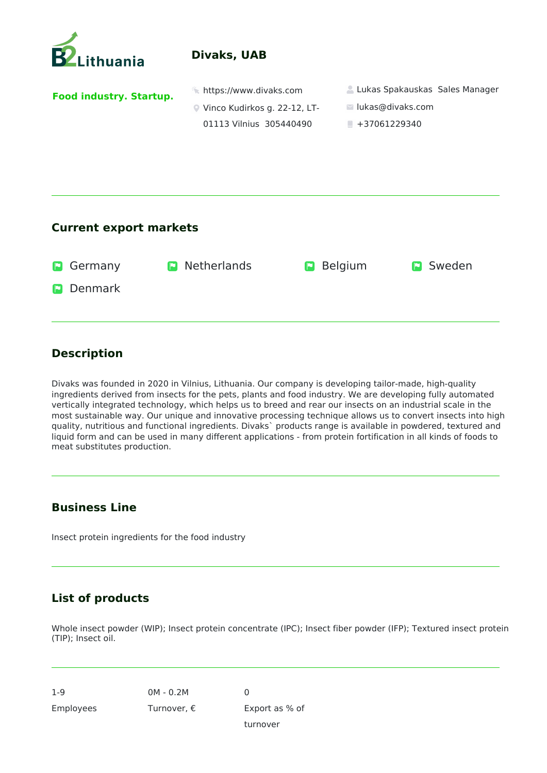

## **Divaks, UAB**

**Food industry. Startup.** 

- 
- Vinco Kudirkos g. 22-12, LT-01113 Vilnius 305440490
- **https://www.divaks.com Lukas Spakauskas Sales Manager** 
	- lukas@divaks.com
	- $+37061229340$

### **Current export markets**

| <b>D</b> Germany | <b>D</b> Netherlands | <b>P</b> Belgium | <b>D</b> Sweden |
|------------------|----------------------|------------------|-----------------|
| <b>D</b> Denmark |                      |                  |                 |
|                  |                      |                  |                 |

## **Description**

Divaks was founded in 2020 in Vilnius, Lithuania. Our company is developing tailor-made, high-quality ingredients derived from insects for the pets, plants and food industry. We are developing fully automated vertically integrated technology, which helps us to breed and rear our insects on an industrial scale in the most sustainable way. Our unique and innovative processing technique allows us to convert insects into high quality, nutritious and functional ingredients. Divaks` products range is available in powdered, textured and liquid form and can be used in many different applications - from protein fortification in all kinds of foods to meat substitutes production.

### **Business Line**

Insect protein ingredients for the food industry

# **List of products**

Whole insect powder (WIP); Insect protein concentrate (IPC); Insect fiber powder (IFP); Textured insect protein (TIP); Insect oil.

 $\Omega$